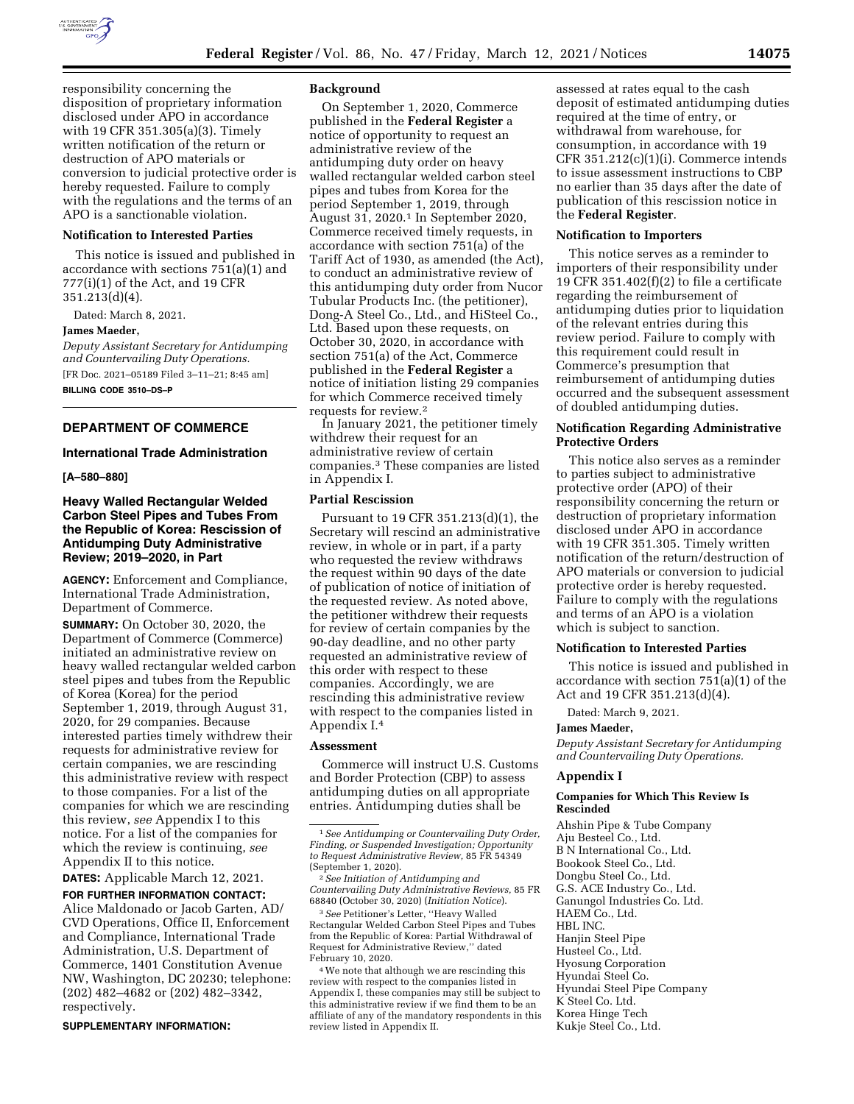

responsibility concerning the disposition of proprietary information disclosed under APO in accordance with 19 CFR 351.305(a)(3). Timely written notification of the return or destruction of APO materials or conversion to judicial protective order is hereby requested. Failure to comply with the regulations and the terms of an APO is a sanctionable violation.

#### **Notification to Interested Parties**

This notice is issued and published in accordance with sections 751(a)(1) and 777(i)(1) of the Act, and 19 CFR 351.213(d)(4).

Dated: March 8, 2021.

#### **James Maeder,**

*Deputy Assistant Secretary for Antidumping and Countervailing Duty Operations.*  [FR Doc. 2021–05189 Filed 3–11–21; 8:45 am] **BILLING CODE 3510–DS–P** 

## **DEPARTMENT OF COMMERCE**

## **International Trade Administration**

**[A–580–880]** 

## **Heavy Walled Rectangular Welded Carbon Steel Pipes and Tubes From the Republic of Korea: Rescission of Antidumping Duty Administrative Review; 2019–2020, in Part**

**AGENCY:** Enforcement and Compliance, International Trade Administration, Department of Commerce.

**SUMMARY:** On October 30, 2020, the Department of Commerce (Commerce) initiated an administrative review on heavy walled rectangular welded carbon steel pipes and tubes from the Republic of Korea (Korea) for the period September 1, 2019, through August 31, 2020, for 29 companies. Because interested parties timely withdrew their requests for administrative review for certain companies, we are rescinding this administrative review with respect to those companies. For a list of the companies for which we are rescinding this review, *see* Appendix I to this notice. For a list of the companies for which the review is continuing, *see*  Appendix II to this notice.

**DATES:** Applicable March 12, 2021.

**FOR FURTHER INFORMATION CONTACT:**  Alice Maldonado or Jacob Garten, AD/ CVD Operations, Office II, Enforcement and Compliance, International Trade Administration, U.S. Department of Commerce, 1401 Constitution Avenue NW, Washington, DC 20230; telephone: (202) 482–4682 or (202) 482–3342, respectively.

**SUPPLEMENTARY INFORMATION:** 

### **Background**

On September 1, 2020, Commerce published in the **Federal Register** a notice of opportunity to request an administrative review of the antidumping duty order on heavy walled rectangular welded carbon steel pipes and tubes from Korea for the period September 1, 2019, through August 31, 2020.1 In September 2020, Commerce received timely requests, in accordance with section 751(a) of the Tariff Act of 1930, as amended (the Act), to conduct an administrative review of this antidumping duty order from Nucor Tubular Products Inc. (the petitioner), Dong-A Steel Co., Ltd., and HiSteel Co., Ltd. Based upon these requests, on October 30, 2020, in accordance with section 751(a) of the Act, Commerce published in the **Federal Register** a notice of initiation listing 29 companies for which Commerce received timely requests for review.2

In January 2021, the petitioner timely withdrew their request for an administrative review of certain companies.3 These companies are listed in Appendix I.

### **Partial Rescission**

Pursuant to 19 CFR 351.213(d)(1), the Secretary will rescind an administrative review, in whole or in part, if a party who requested the review withdraws the request within 90 days of the date of publication of notice of initiation of the requested review. As noted above, the petitioner withdrew their requests for review of certain companies by the 90-day deadline, and no other party requested an administrative review of this order with respect to these companies. Accordingly, we are rescinding this administrative review with respect to the companies listed in Appendix I.4

#### **Assessment**

Commerce will instruct U.S. Customs and Border Protection (CBP) to assess antidumping duties on all appropriate entries. Antidumping duties shall be

3*See* Petitioner's Letter, ''Heavy Walled Rectangular Welded Carbon Steel Pipes and Tubes from the Republic of Korea: Partial Withdrawal of Request for Administrative Review,'' dated February 10, 2020.

4We note that although we are rescinding this review with respect to the companies listed in Appendix I, these companies may still be subject to this administrative review if we find them to be an affiliate of any of the mandatory respondents in this review listed in Appendix II.

assessed at rates equal to the cash deposit of estimated antidumping duties required at the time of entry, or withdrawal from warehouse, for consumption, in accordance with 19 CFR 351.212(c)(1)(i). Commerce intends to issue assessment instructions to CBP no earlier than 35 days after the date of publication of this rescission notice in the **Federal Register**.

## **Notification to Importers**

This notice serves as a reminder to importers of their responsibility under 19 CFR 351.402 $(f)(2)$  to file a certificate regarding the reimbursement of antidumping duties prior to liquidation of the relevant entries during this review period. Failure to comply with this requirement could result in Commerce's presumption that reimbursement of antidumping duties occurred and the subsequent assessment of doubled antidumping duties.

# **Notification Regarding Administrative Protective Orders**

This notice also serves as a reminder to parties subject to administrative protective order (APO) of their responsibility concerning the return or destruction of proprietary information disclosed under APO in accordance with 19 CFR 351.305. Timely written notification of the return/destruction of APO materials or conversion to judicial protective order is hereby requested. Failure to comply with the regulations and terms of an APO is a violation which is subject to sanction.

### **Notification to Interested Parties**

This notice is issued and published in accordance with section 751(a)(1) of the Act and 19 CFR 351.213(d)(4).

Dated: March 9, 2021.

### **James Maeder,**

*Deputy Assistant Secretary for Antidumping and Countervailing Duty Operations.* 

### **Appendix I**

## **Companies for Which This Review Is Rescinded**

Ahshin Pipe & Tube Company Aju Besteel Co., Ltd. B N International Co., Ltd. Bookook Steel Co., Ltd. Dongbu Steel Co., Ltd. G.S. ACE Industry Co., Ltd. Ganungol Industries Co. Ltd. HAEM Co., Ltd. HBL INC. Hanjin Steel Pipe Husteel Co., Ltd. Hyosung Corporation Hyundai Steel Co. Hyundai Steel Pipe Company K Steel Co. Ltd. Korea Hinge Tech Kukje Steel Co., Ltd.

<sup>1</sup>*See Antidumping or Countervailing Duty Order, Finding, or Suspended Investigation; Opportunity to Request Administrative Review,* 85 FR 54349 (September 1, 2020).

<sup>2</sup>*See Initiation of Antidumping and Countervailing Duty Administrative Reviews,* 85 FR 68840 (October 30, 2020) (*Initiation Notice*).